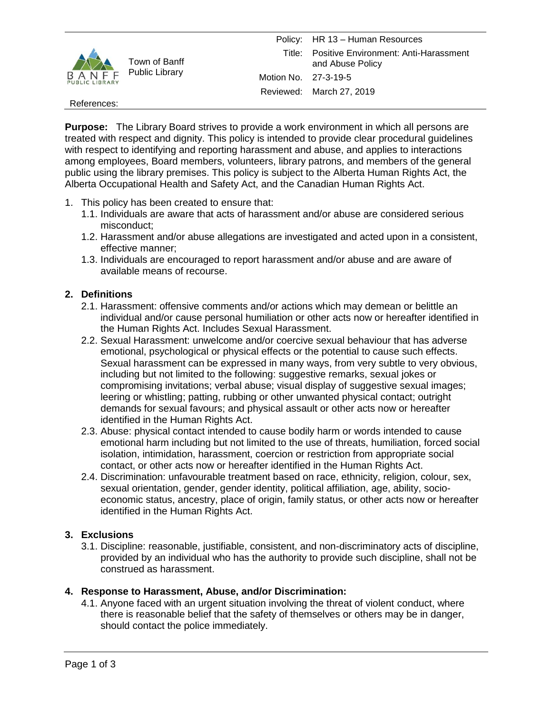

Town of Banff Public Library

#### References:

**Purpose:** The Library Board strives to provide a work environment in which all persons are treated with respect and dignity. This policy is intended to provide clear procedural guidelines with respect to identifying and reporting harassment and abuse, and applies to interactions among employees, Board members, volunteers, library patrons, and members of the general public using the library premises. This policy is subject to the Alberta Human Rights Act, the Alberta Occupational Health and Safety Act, and the Canadian Human Rights Act.

- 1. This policy has been created to ensure that:
	- 1.1. Individuals are aware that acts of harassment and/or abuse are considered serious misconduct;
	- 1.2. Harassment and/or abuse allegations are investigated and acted upon in a consistent, effective manner;
	- 1.3. Individuals are encouraged to report harassment and/or abuse and are aware of available means of recourse.

## **2. Definitions**

- 2.1. Harassment: offensive comments and/or actions which may demean or belittle an individual and/or cause personal humiliation or other acts now or hereafter identified in the Human Rights Act. Includes Sexual Harassment.
- 2.2. Sexual Harassment: unwelcome and/or coercive sexual behaviour that has adverse emotional, psychological or physical effects or the potential to cause such effects. Sexual harassment can be expressed in many ways, from very subtle to very obvious, including but not limited to the following: suggestive remarks, sexual jokes or compromising invitations; verbal abuse; visual display of suggestive sexual images; leering or whistling; patting, rubbing or other unwanted physical contact; outright demands for sexual favours; and physical assault or other acts now or hereafter identified in the Human Rights Act.
- 2.3. Abuse: physical contact intended to cause bodily harm or words intended to cause emotional harm including but not limited to the use of threats, humiliation, forced social isolation, intimidation, harassment, coercion or restriction from appropriate social contact, or other acts now or hereafter identified in the Human Rights Act.
- 2.4. Discrimination: unfavourable treatment based on race, ethnicity, religion, colour, sex, sexual orientation, gender, gender identity, political affiliation, age, ability, socioeconomic status, ancestry, place of origin, family status, or other acts now or hereafter identified in the Human Rights Act.

## **3. Exclusions**

3.1. Discipline: reasonable, justifiable, consistent, and non-discriminatory acts of discipline, provided by an individual who has the authority to provide such discipline, shall not be construed as harassment.

### **4. Response to Harassment, Abuse, and/or Discrimination:**

4.1. Anyone faced with an urgent situation involving the threat of violent conduct, where there is reasonable belief that the safety of themselves or others may be in danger, should contact the police immediately.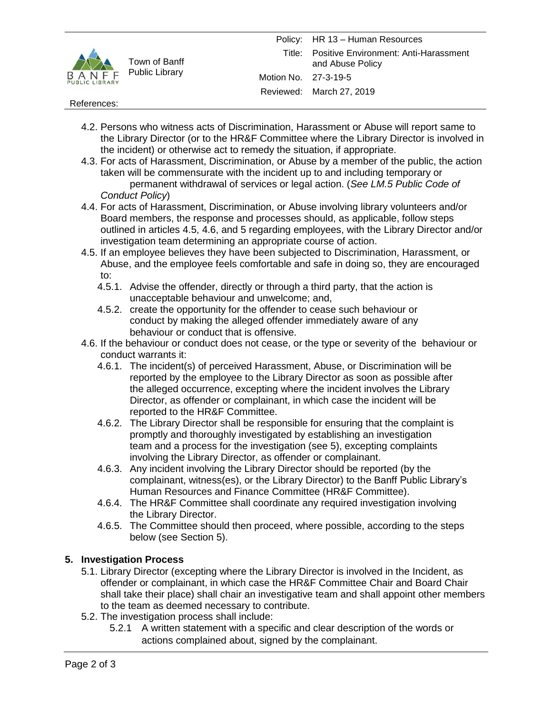

Town of Banff Public Library

#### References:

- 4.2. Persons who witness acts of Discrimination, Harassment or Abuse will report same to the Library Director (or to the HR&F Committee where the Library Director is involved in the incident) or otherwise act to remedy the situation, if appropriate.
- 4.3. For acts of Harassment, Discrimination, or Abuse by a member of the public, the action taken will be commensurate with the incident up to and including temporary or permanent withdrawal of services or legal action. (*See LM.5 Public Code of Conduct Policy*)
- 4.4. For acts of Harassment, Discrimination, or Abuse involving library volunteers and/or Board members, the response and processes should, as applicable, follow steps outlined in articles 4.5, 4.6, and 5 regarding employees, with the Library Director and/or investigation team determining an appropriate course of action.
- 4.5. If an employee believes they have been subjected to Discrimination, Harassment, or Abuse, and the employee feels comfortable and safe in doing so, they are encouraged to:
	- 4.5.1. Advise the offender, directly or through a third party, that the action is unacceptable behaviour and unwelcome; and,
	- 4.5.2. create the opportunity for the offender to cease such behaviour or conduct by making the alleged offender immediately aware of any behaviour or conduct that is offensive.
- 4.6. If the behaviour or conduct does not cease, or the type or severity of the behaviour or conduct warrants it:
	- 4.6.1. The incident(s) of perceived Harassment, Abuse, or Discrimination will be reported by the employee to the Library Director as soon as possible after the alleged occurrence, excepting where the incident involves the Library Director, as offender or complainant, in which case the incident will be reported to the HR&F Committee.
	- 4.6.2. The Library Director shall be responsible for ensuring that the complaint is promptly and thoroughly investigated by establishing an investigation team and a process for the investigation (see 5), excepting complaints involving the Library Director, as offender or complainant.
	- 4.6.3. Any incident involving the Library Director should be reported (by the complainant, witness(es), or the Library Director) to the Banff Public Library's Human Resources and Finance Committee (HR&F Committee).
	- 4.6.4. The HR&F Committee shall coordinate any required investigation involving the Library Director.
	- 4.6.5. The Committee should then proceed, where possible, according to the steps below (see Section 5).

# **5. Investigation Process**

- 5.1. Library Director (excepting where the Library Director is involved in the Incident, as offender or complainant, in which case the HR&F Committee Chair and Board Chair shall take their place) shall chair an investigative team and shall appoint other members to the team as deemed necessary to contribute.
- 5.2. The investigation process shall include:
	- 5.2.1 A written statement with a specific and clear description of the words or actions complained about, signed by the complainant.